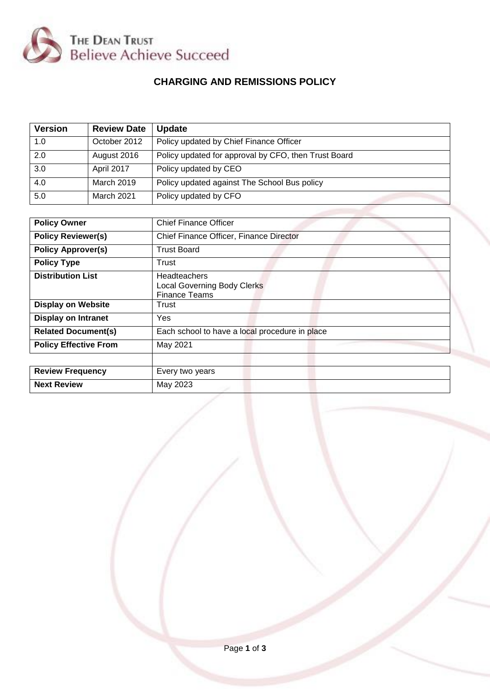

# **CHARGING AND REMISSIONS POLICY**

| <b>Version</b> | <b>Review Date</b> | <b>Update</b>                                        |
|----------------|--------------------|------------------------------------------------------|
| 1.0            | October 2012       | Policy updated by Chief Finance Officer              |
| 2.0            | August 2016        | Policy updated for approval by CFO, then Trust Board |
| 3.0            | April 2017         | Policy updated by CEO                                |
| 4.0            | March 2019         | Policy updated against The School Bus policy         |
| 5.0            | <b>March 2021</b>  | Policy updated by CFO                                |

| <b>Policy Owner</b>          | <b>Chief Finance Officer</b>                                                      |
|------------------------------|-----------------------------------------------------------------------------------|
| <b>Policy Reviewer(s)</b>    | Chief Finance Officer, Finance Director                                           |
| <b>Policy Approver(s)</b>    | <b>Trust Board</b>                                                                |
| <b>Policy Type</b>           | Trust                                                                             |
| <b>Distribution List</b>     | <b>Headteachers</b><br><b>Local Governing Body Clerks</b><br><b>Finance Teams</b> |
| <b>Display on Website</b>    | Trust                                                                             |
| <b>Display on Intranet</b>   | Yes                                                                               |
| <b>Related Document(s)</b>   | Each school to have a local procedure in place                                    |
| <b>Policy Effective From</b> | May 2021                                                                          |
|                              |                                                                                   |
| <b>Review Frequency</b>      | Every two years                                                                   |
| <b>Next Review</b>           | May 2023                                                                          |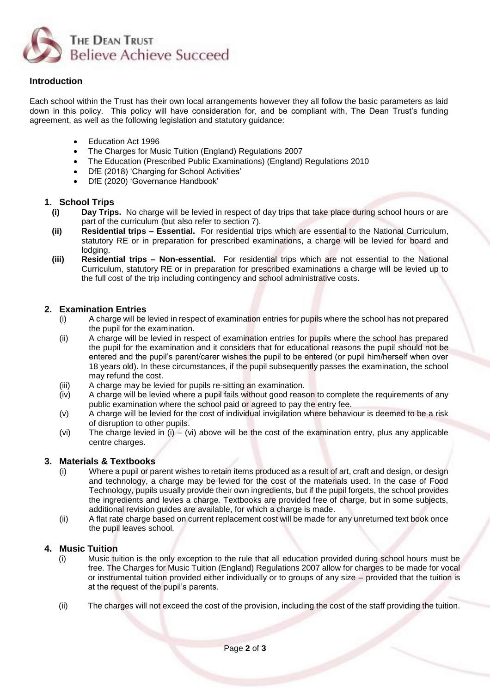

# **Introduction**

Each school within the Trust has their own local arrangements however they all follow the basic parameters as laid down in this policy. This policy will have consideration for, and be compliant with, The Dean Trust's funding agreement, as well as the following legislation and statutory guidance:

- Education Act 1996
- The Charges for Music Tuition (England) Regulations 2007
- The Education (Prescribed Public Examinations) (England) Regulations 2010
- DfE (2018) 'Charging for School Activities'
- DfE (2020) 'Governance Handbook'

## **1. School Trips**

- **(i) Day Trips.** No charge will be levied in respect of day trips that take place during school hours or are part of the curriculum (but also refer to section 7).
- **(ii) Residential trips – Essential.** For residential trips which are essential to the National Curriculum, statutory RE or in preparation for prescribed examinations, a charge will be levied for board and lodaina.
- **(iii) Residential trips – Non-essential.** For residential trips which are not essential to the National Curriculum, statutory RE or in preparation for prescribed examinations a charge will be levied up to the full cost of the trip including contingency and school administrative costs.

# **2. Examination Entries**

- (i) A charge will be levied in respect of examination entries for pupils where the school has not prepared the pupil for the examination.
- (ii) A charge will be levied in respect of examination entries for pupils where the school has prepared the pupil for the examination and it considers that for educational reasons the pupil should not be entered and the pupil's parent/carer wishes the pupil to be entered (or pupil him/herself when over 18 years old). In these circumstances, if the pupil subsequently passes the examination, the school may refund the cost.
- (iii) A charge may be levied for pupils re-sitting an examination.
- (iv) A charge will be levied where a pupil fails without good reason to complete the requirements of any public examination where the school paid or agreed to pay the entry fee.
- (v) A charge will be levied for the cost of individual invigilation where behaviour is deemed to be a risk of disruption to other pupils.
- (vi) The charge levied in  $(i) (vi)$  above will be the cost of the examination entry, plus any applicable centre charges.

### **3. Materials & Textbooks**

- (i) Where a pupil or parent wishes to retain items produced as a result of art, craft and design, or design and technology, a charge may be levied for the cost of the materials used. In the case of Food Technology, pupils usually provide their own ingredients, but if the pupil forgets, the school provides the ingredients and levies a charge. Textbooks are provided free of charge, but in some subjects, additional revision guides are available, for which a charge is made.
- (ii) A flat rate charge based on current replacement cost will be made for any unreturned text book once the pupil leaves school.

### **4. Music Tuition**

- (i) Music tuition is the only exception to the rule that all education provided during school hours must be free. The Charges for Music Tuition (England) Regulations 2007 allow for charges to be made for vocal or instrumental tuition provided either individually or to groups of any size – provided that the tuition is at the request of the pupil's parents.
- (ii) The charges will not exceed the cost of the provision, including the cost of the staff providing the tuition.